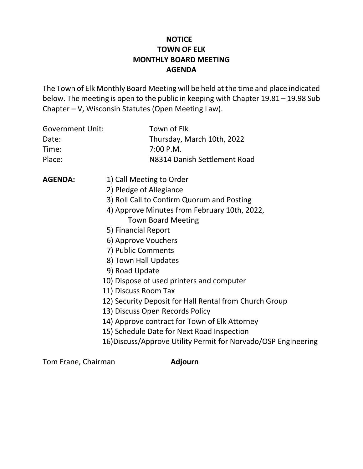# **NOTICE TOWN OF ELK MONTHLY BOARD MEETING AGENDA**

The Town of Elk Monthly Board Meeting will be held at the time and place indicated below. The meeting is open to the public in keeping with Chapter 19.81 – 19.98 Sub Chapter – V, Wisconsin Statutes (Open Meeting Law).

| <b>Government Unit:</b> | Town of Elk                                                    |
|-------------------------|----------------------------------------------------------------|
| Date:                   | Thursday, March 10th, 2022                                     |
| Time:                   | 7:00 P.M.                                                      |
| Place:                  | N8314 Danish Settlement Road                                   |
| <b>AGENDA:</b>          | 1) Call Meeting to Order                                       |
|                         | 2) Pledge of Allegiance                                        |
|                         | 3) Roll Call to Confirm Quorum and Posting                     |
|                         | 4) Approve Minutes from February 10th, 2022,                   |
|                         | <b>Town Board Meeting</b>                                      |
|                         | 5) Financial Report                                            |
|                         | 6) Approve Vouchers                                            |
|                         | 7) Public Comments                                             |
|                         | 8) Town Hall Updates                                           |
|                         | 9) Road Update                                                 |
|                         | 10) Dispose of used printers and computer                      |
|                         | 11) Discuss Room Tax                                           |
|                         | 12) Security Deposit for Hall Rental from Church Group         |
|                         | 13) Discuss Open Records Policy                                |
|                         | 14) Approve contract for Town of Elk Attorney                  |
|                         | 15) Schedule Date for Next Road Inspection                     |
|                         | 16) Discuss/Approve Utility Permit for Norvado/OSP Engineering |

Tom Frane, Chairman **Adjourn**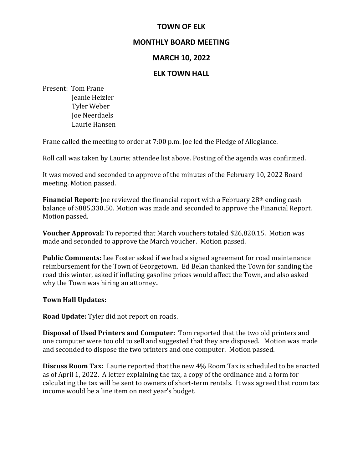## **TOWN OF ELK**

### **MONTHLY BOARD MEETING**

### **MARCH 10, 2022**

#### **ELK TOWN HALL**

Present: Tom Frane

 Jeanie Heizler Tyler Weber Joe Neerdaels Laurie Hansen

Frane called the meeting to order at 7:00 p.m. Joe led the Pledge of Allegiance.

Roll call was taken by Laurie; attendee list above. Posting of the agenda was confirmed.

It was moved and seconded to approve of the minutes of the February 10, 2022 Board meeting. Motion passed.

**Financial Report:** Joe reviewed the financial report with a February 28<sup>th</sup> ending cash balance of \$885,330.50. Motion was made and seconded to approve the Financial Report. Motion passed.

**Voucher Approval:** To reported that March vouchers totaled \$26,820.15. Motion was made and seconded to approve the March voucher. Motion passed.

**Public Comments:** Lee Foster asked if we had a signed agreement for road maintenance reimbursement for the Town of Georgetown. Ed Belan thanked the Town for sanding the road this winter, asked if inflating gasoline prices would affect the Town, and also asked why the Town was hiring an attorney**.** 

#### **Town Hall Updates:**

**Road Update:** Tyler did not report on roads.

**Disposal of Used Printers and Computer:** Tom reported that the two old printers and one computer were too old to sell and suggested that they are disposed. Motion was made and seconded to dispose the two printers and one computer. Motion passed.

**Discuss Room Tax:** Laurie reported that the new 4% Room Tax is scheduled to be enacted as of April 1, 2022. A letter explaining the tax, a copy of the ordinance and a form for calculating the tax will be sent to owners of short-term rentals. It was agreed that room tax income would be a line item on next year's budget.